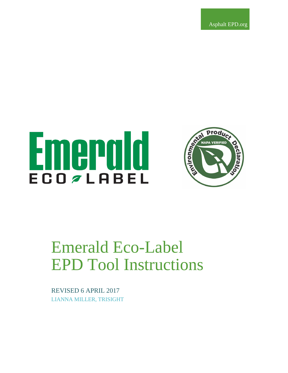Asphalt EPD.org

# Emerald **ECO**<sup>ZLABEL</sup>



# Emerald Eco-Label EPD Tool Instructions

REVISED 6 APRIL 2017 LIANNA MILLER, TRISIGHT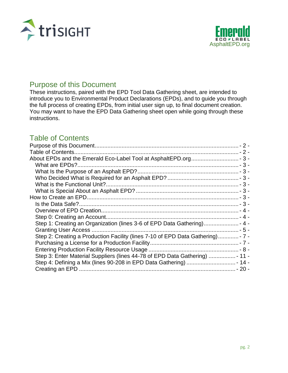



## Purpose of this Document

These instructions, paired with the EPD Tool Data Gathering sheet, are intended to introduce you to Environmental Product Declarations (EPDs), and to guide you through the full process of creating EPDs, from initial user sign up, to final document creation. You may want to have the EPD Data Gathering sheet open while going through these instructions.

# Table of Contents

| Step 2: Creating a Production Facility (lines 7-10 of EPD Data Gathering) - 7 - |  |
|---------------------------------------------------------------------------------|--|
|                                                                                 |  |
|                                                                                 |  |
| Step 3: Enter Material Suppliers (lines 44-78 of EPD Data Gathering)  - 11 -    |  |
|                                                                                 |  |
|                                                                                 |  |
|                                                                                 |  |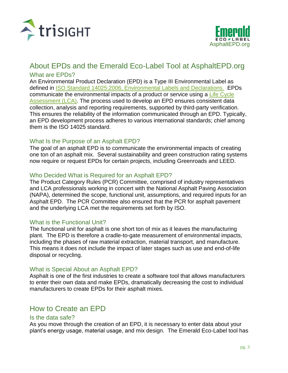



### About EPDs and the Emerald Eco-Label Tool at AsphaltEPD.org What are EPDs?

An Environmental Product Declaration (EPD) is a Type III Environmental Label as defined in [ISO Standard 14025:2006, Environmental Labels and Declarations.](http://www.iso.org/iso/catalogue_detail%3Fcsnumber%3D38131) EPDs communicate the environmental impacts of a product or service using a Life Cycle [Assessment \(LCA\).](https://en.wikipedia.org/wiki/Life-cycle_assessment) The process used to develop an EPD ensures consistent data collection, analysis and reporting requirements, supported by third-party verification. This ensures the reliability of the information communicated through an EPD. Typically, an EPD development process adheres to various international standards; chief among them is the ISO 14025 standard.

#### What Is the Purpose of an Asphalt EPD?

The goal of an asphalt EPD is to communicate the environmental impacts of creating one ton of an asphalt mix. Several sustainability and green construction rating systems now require or request EPDs for certain projects, including Greenroads and LEED.

#### Who Decided What is Required for an Asphalt EPD?

The Product Category Rules (PCR) Committee, comprised of industry representatives and LCA professionals working in concert with the National Asphalt Paving Association (NAPA), determined the scope, functional unit, assumptions, and required inputs for an Asphalt EPD. The PCR Committee also ensured that the PCR for asphalt pavement and the underlying LCA met the requirements set forth by ISO.

#### What is the Functional Unit?

The functional unit for asphalt is one short ton of mix as it leaves the manufacturing plant. The EPD is therefore a cradle-to-gate measurement of environmental impacts, including the phases of raw material extraction, material transport, and manufacture. This means it does not include the impact of later stages such as use and end-of-life disposal or recycling.

#### What is Special About an Asphalt EPD?

Asphalt is one of the first industries to create a software tool that allows manufacturers to enter their own data and make EPDs, dramatically decreasing the cost to individual manufacturers to create EPDs for their asphalt mixes.

# How to Create an EPD

#### Is the data safe?

As you move through the creation of an EPD, it is necessary to enter data about your plant's energy usage, material usage, and mix design. The Emerald Eco-Label tool has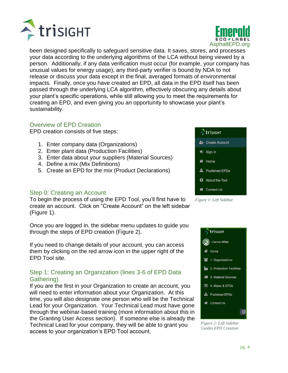

been designed specifically to safeguard sensitive data. It saves, stores, and processes your data according to the underlying algorithms of the LCA without being viewed by a person. Additionally, if any data verification must occur (for example, your company has unusual values for energy usage), any third-party verifier is bound by NDA to not release or discuss your data except in the final, averaged formats of environmental impacts. Finally, once you have created an EPD, all data in the EPD itself has been passed through the underlying LCA algorithm, effectively obscuring any details about your plant's specific operations, while still allowing you to meet the requirements for creating an EPD, and even giving you an opportunity to showcase your plant's sustainability.

#### Overview of EPD Creation

**E**trisight

EPD creation consists of five steps:

- 1. Enter company data (Organizations)
- 2. Enter plant data (Production Facilities)
- 3. Enter data about your suppliers (Material Sources)
- 4. Define a mix (Mix Definitions)
- 5. Create an EPD for the mix (Product Declarations)

#### Step 0: Creating an Account

To begin the process of using the EPD Tool, you'll first have to create an account. Click on "Create Account" on the left sidebar (Figure 1).

Once you are logged in, the sidebar menu updates to guide you through the steps of EPD creation (Figure 2).

If you need to change details of your account, you can access them by clicking on the red arrow icon in the upper right of the EPD Tool site.

#### Step 1: Creating an Organization (lines 3-6 of EPD Data Gathering)

If you are the first in your Organization to create an account, you will need to enter information about your Organization. At this time, you will also designate one person who will be the Technical Lead for your Organization. Your Technical Lead must have gone through the webinar-based training (more information about this in the Granting User Access section). If someone else is already the Technical Lead for your company, they will be able to grant you access to your organization's EPD Tool account.

 $\bigtriangledown$  Sign in **谷** Home **L** Published EPDs About the Tool **N** Contact Us

trisight

& Create Account





*Guides EPD Creation*



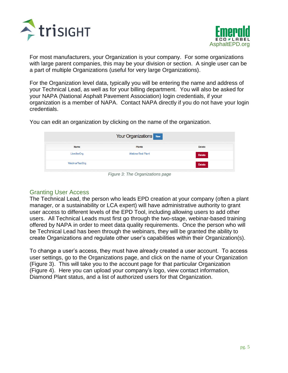



For most manufacturers, your Organization is your company. For some organizations with large parent companies, this may be your division or section. A single user can be a part of multiple Organizations (useful for very large Organizations).

For the Organization level data, typically you will be entering the name and address of your Technical Lead, as well as for your billing department. You will also be asked for your NAPA (National Asphalt Pavement Association) login credentials, if your organization is a member of NAPA. Contact NAPA directly if you do not have your login credentials.

You can edit an organization by clicking on the name of the organization.

| Your Organizations New   |               |
|--------------------------|---------------|
| <b>Plants</b>            | <b>Delete</b> |
| <b>WebinarTest Plant</b> | Delete        |
|                          | <b>Delete</b> |
|                          |               |

*Figure 3: The Organizations page*

#### Granting User Access

The Technical Lead, the person who leads EPD creation at your company (often a plant manager, or a sustainability or LCA expert) will have administrative authority to grant user access to different levels of the EPD Tool, including allowing users to add other users. All Technical Leads must first go through the two-stage, webinar-based training offered by NAPA in order to meet data quality requirements. Once the person who will be Technical Lead has been through the webinars, they will be granted the ability to create Organizations and regulate other user's capabilities within their Organization(s).

To change a user's access, they must have already created a user account. To access user settings, go to the Organizations page, and click on the name of your Organization (Figure 3). This will take you to the account page for that particular Organization (Figure 4). Here you can upload your company's logo, view contact information, Diamond Plant status, and a list of authorized users for that Organization.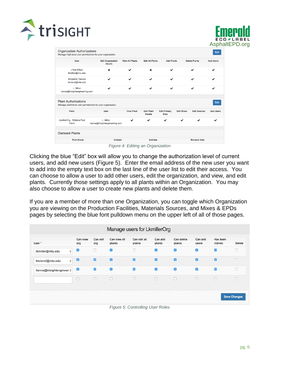



| <b>User</b>                                                                               | <b>Edit Organization</b><br><b>Details</b>  | <b>View All Plants</b> | <b>Edit All Plants</b>              | <b>Add Plants</b>           |                   | <b>Delete Plants</b> | <b>Add Users</b> |
|-------------------------------------------------------------------------------------------|---------------------------------------------|------------------------|-------------------------------------|-----------------------------|-------------------|----------------------|------------------|
| <b>LTest MTest</b><br>Ikmiller@mtu.edu                                                    | $\mathbf x$                                 | ◡                      | $\mathbf x$                         | ✔                           |                   | ◡                    |                  |
| <b>Benjamin Ciavola</b><br>btciavol@mtu.edu                                               | ✓                                           | ✓                      | $\checkmark$                        | ✓                           |                   | ◡                    | ◡                |
| L. Miller<br>lianna@trisightengineering.com                                               | ✓                                           | ୰                      | ୰                                   | $\boldsymbol{\mathscr{L}}$  |                   | ✔                    |                  |
| <b>Plant Authorizations</b><br>Manage plant-level user permissions for your organization. |                                             |                        |                                     |                             |                   |                      | Edit             |
| Plant                                                                                     | <b>User</b>                                 | <b>View Plant</b>      | <b>Edit Plant</b><br><b>Details</b> | <b>Edit Primary</b><br>Data | <b>Edit Mixes</b> | <b>Edit Sources</b>  | <b>Add Users</b> |
| LkmillerOrg - WebinarTest<br>Plant                                                        | L. Miller<br>lianna@trisightengineering.com | ✓                      |                                     | ✔                           | ✓                 |                      |                  |
| <b>Diamond Plants</b>                                                                     |                                             |                        |                                     |                             |                   |                      |                  |
|                                                                                           |                                             |                        |                                     |                             |                   |                      |                  |

*Figure 4: Editing an Organization*

Clicking the blue "Edit" box will allow you to change the authorization level of current users, and add new users (Figure 5). Enter the email address of the new user you want to add into the empty text box on the last line of the user list to edit their access. You can choose to allow a user to add other users, edit the organization, and view, and edit plants. Currently those settings apply to all plants within an Organization. You may also choose to allow a user to create new plants and delete them.

If you are a member of more than one Organization, you can toggle which Organization you are viewing on the Production Facilities, Materials Sources, and Mixes & EPDs pages by selecting the blue font pulldown menu on the upper left of all of those pages.

| User*                       | Can view<br>org | Can edit<br>org | Can view all<br>plants | Can edit all<br>plants | Can add<br>plants     | Can delete<br>plants | Can add<br>users | Has been<br>trained   | <b>Delete</b> |
|-----------------------------|-----------------|-----------------|------------------------|------------------------|-----------------------|----------------------|------------------|-----------------------|---------------|
| Ikmiller@mtu.edu<br>÷       | ø<br>÷          | O               | Ø                      | $\Box$                 | Ø                     | Ø                    | $\mathbf{z}$     | ø                     | о             |
| btciavol@mtu.edu<br>÷       | Ø               | ø               | Ø                      | $\bullet$              | $\boldsymbol{\sigma}$ | ø                    | Ø                | $\boldsymbol{\omega}$ | о             |
| lianna@trisightengineeri \$ | ø               | Ø               | Ø                      | $\bullet$              | $\overline{v}$        | Ø                    | $\mathcal{D}$    | ø                     | O             |
|                             | O               | $\Box$          | $\Box$                 | $\Box$                 | $\Box$                | $\Box$               | $\Box$           | $\Box$                | O             |
|                             |                 |                 |                        |                        |                       |                      |                  |                       |               |

*Figure 5: Controlling User Roles*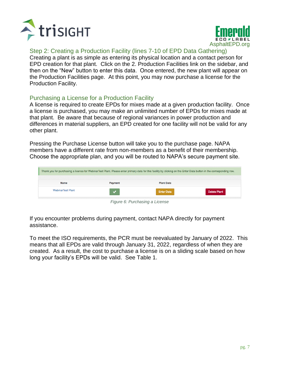



#### Step 2: Creating a Production Facility (lines 7-10 of EPD Data Gathering)

Creating a plant is as simple as entering its physical location and a contact person for EPD creation for that plant. Click on the 2. Production Facilities link on the sidebar, and then on the "New" button to enter this data. Once entered, the new plant will appear on the Production Facilities page. At this point, you may now purchase a license for the Production Facility.

#### Purchasing a License for a Production Facility

A license is required to create EPDs for mixes made at a given production facility. Once a license is purchased, you may make an unlimited number of EPDs for mixes made at that plant. Be aware that because of regional variances in power production and differences in material suppliers, an EPD created for one facility will not be valid for any other plant.

Pressing the Purchase License button will take you to the purchase page. NAPA members have a different rate from non-members as a benefit of their membership. Choose the appropriate plan, and you will be routed to NAPA's secure payment site.

|                          |                | Thank you for purchasing a license for WebinarTest Plant. Please enter primary data for this facility by clicking on the Enter Data button in the corresponding row. |                     |
|--------------------------|----------------|----------------------------------------------------------------------------------------------------------------------------------------------------------------------|---------------------|
| <b>Name</b>              | <b>Payment</b> | <b>Plant Data</b>                                                                                                                                                    |                     |
| <b>WebinarTest Plant</b> |                | <b>Enter Data</b>                                                                                                                                                    | <b>Delete Plant</b> |
|                          | $-$            | $\sim$ $\sim$ $\sim$ $\sim$ $\sim$ $\sim$ $\sim$                                                                                                                     |                     |

*Figure 6: Purchasing a License*

If you encounter problems during payment, contact NAPA directly for payment assistance.

To meet the ISO requirements, the PCR must be reevaluated by January of 2022. This means that all EPDs are valid through January 31, 2022, regardless of when they are created. As a result, the cost to purchase a license is on a sliding scale based on how long your facility's EPDs will be valid. See Table 1.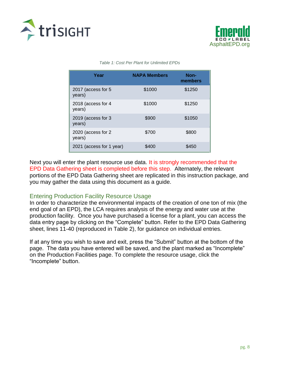



#### *Table 1: Cost Per Plant for Unlimited EPDs*

| Year                         | <b>NAPA Members</b> | Non-<br>members |
|------------------------------|---------------------|-----------------|
| 2017 (access for 5<br>years) | \$1000              | \$1250          |
| 2018 (access for 4<br>years) | \$1000              | \$1250          |
| 2019 (access for 3<br>years) | \$900               | \$1050          |
| 2020 (access for 2<br>years) | \$700               | \$800           |
| 2021 (access for 1 year)     | \$400               | \$450           |

Next you will enter the plant resource use data. It is strongly recommended that the EPD Data Gathering sheet is completed before this step. Alternately, the relevant portions of the EPD Data Gathering sheet are replicated in this instruction package, and you may gather the data using this document as a guide.

#### Entering Production Facility Resource Usage

In order to characterize the environmental impacts of the creation of one ton of mix (the end goal of an EPD), the LCA requires analysis of the energy and water use at the production facility. Once you have purchased a license for a plant, you can access the data entry page by clicking on the "Complete" button. Refer to the EPD Data Gathering sheet, lines 11-40 (reproduced in Table 2), for guidance on individual entries.

If at any time you wish to save and exit, press the "Submit" button at the bottom of the page. The data you have entered will be saved, and the plant marked as "Incomplete" on the Production Facilities page. To complete the resource usage, click the "Incomplete" button.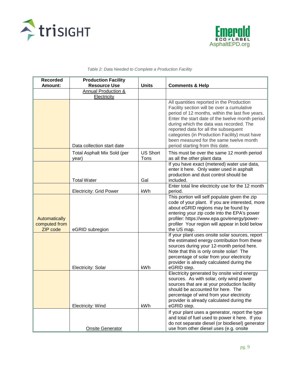



#### *Table 2: Data Needed to Complete a Production Facility*

| <b>Recorded</b><br>Amount:                        | <b>Production Facility</b><br><b>Resource Use</b> | <b>Units</b>            | <b>Comments &amp; Help</b>                                                                                                                                                                                                                                                                                                                                                                                       |
|---------------------------------------------------|---------------------------------------------------|-------------------------|------------------------------------------------------------------------------------------------------------------------------------------------------------------------------------------------------------------------------------------------------------------------------------------------------------------------------------------------------------------------------------------------------------------|
|                                                   | Annual Production &<br>Electricity                |                         |                                                                                                                                                                                                                                                                                                                                                                                                                  |
|                                                   | Data collection start date                        |                         | All quantities reported in the Production<br>Facility section will be over a cumulative<br>period of 12 months, within the last five years.<br>Enter the start date of the twelve month period<br>during which the data was recorded. The<br>reported data for all the subsequent<br>categories (in Production Facility) must have<br>been measured for the same twelve month<br>period starting from this date. |
|                                                   | Total Asphalt Mix Sold (per<br>year)              | <b>US Short</b><br>Tons | This must be over the same 12 month period<br>as all the other plant data                                                                                                                                                                                                                                                                                                                                        |
|                                                   | <b>Total Water</b>                                | Gal                     | If you have exact (metered) water use data,<br>enter it here. Only water used in asphalt<br>production and dust control should be<br>included.                                                                                                                                                                                                                                                                   |
|                                                   | <b>Electricity: Grid Power</b>                    | kWh                     | Enter total line electricity use for the 12 month<br>period.                                                                                                                                                                                                                                                                                                                                                     |
| Automatically<br>computed from<br><b>ZIP</b> code | eGRID subregion                                   |                         | This portion will self populate given the zip<br>code of your plant. If you are interested, more<br>about eGRID regions may be found by<br>entering your zip code into the EPA's power<br>profiler: https://www.epa.gov/energy/power-<br>profiler Your region will appear in bold below<br>the US map.                                                                                                           |
|                                                   | Electricity: Solar                                | kWh                     | If your plant uses onsite solar sources, report<br>the estimated energy contribution from these<br>sources during your 12-month period here.<br>Note that this is only onsite solar! The<br>percentage of solar from your electricity<br>provider is already calculated during the<br>eGRID step.                                                                                                                |
|                                                   | Electricity: Wind                                 | kWh                     | Electricity generated by onsite wind energy<br>sources. As with solar, only wind power<br>sources that are at your production facility<br>should be accounted for here. The<br>percentage of wind from your electricity<br>provider is already calculated during the<br>eGRID step.                                                                                                                              |
|                                                   | <b>Onsite Generator</b>                           |                         | If your plant uses a generator, report the type<br>and total of fuel used to power it here. If you<br>do not separate diesel (or biodiesel) generator<br>use from other diesel uses (e.g. onsite                                                                                                                                                                                                                 |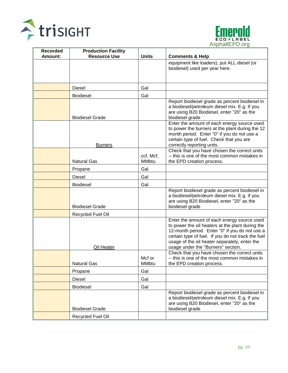



| <b>Recorded</b> | <b>Production Facility</b> |                           |                                                                                                                                                                                                                                                                                                |
|-----------------|----------------------------|---------------------------|------------------------------------------------------------------------------------------------------------------------------------------------------------------------------------------------------------------------------------------------------------------------------------------------|
| Amount:         | <b>Resource Use</b>        | <b>Units</b>              | <b>Comments &amp; Help</b>                                                                                                                                                                                                                                                                     |
|                 |                            |                           | equipment like loaders), put ALL diesel (or<br>biodiesel) used per year here.                                                                                                                                                                                                                  |
|                 | Diesel                     | Gal                       |                                                                                                                                                                                                                                                                                                |
|                 | <b>Biodiesel</b>           | Gal                       |                                                                                                                                                                                                                                                                                                |
|                 | <b>Biodiesel Grade</b>     |                           | Report biodiesel grade as percent biodiesel in<br>a biodiesel/petroleum diesel mix. E.g. If you<br>are using B20 Biodiesel, enter "20" as the<br>biodiesel grade                                                                                                                               |
|                 | <b>Burners</b>             |                           | Enter the amount of each energy source used<br>to power the burners at the plant during the 12<br>month period. Enter "0" if you do not use a<br>certain type of fuel. Check that you are<br>correctly reporting units.                                                                        |
|                 | <b>Natural Gas</b>         | ccf, Mcf,<br><b>MMbtu</b> | Check that you have chosen the correct units<br>-- this is one of the most common mistakes in<br>the EPD creation process.                                                                                                                                                                     |
|                 | Propane                    | Gal                       |                                                                                                                                                                                                                                                                                                |
|                 | Diesel                     | Gal                       |                                                                                                                                                                                                                                                                                                |
|                 | <b>Biodiesel</b>           | Gal                       |                                                                                                                                                                                                                                                                                                |
|                 | <b>Biodiesel Grade</b>     |                           | Report biodiesel grade as percent biodiesel in<br>a biodiesel/petroleum diesel mix. E.g. If you<br>are using B20 Biodiesel, enter "20" as the<br>biodiesel grade                                                                                                                               |
|                 | Recycled Fuel Oil          |                           |                                                                                                                                                                                                                                                                                                |
|                 | Oil Heater                 |                           | Enter the amount of each energy source used<br>to power the oil heaters at the plant during the<br>12-month period. Enter "0" if you do not use a<br>certain type of fuel. If you do not track the fuel<br>usage of the oil heater separately, enter the<br>usage under the "Burners" section. |
|                 | <b>Natural Gas</b>         | Mcf or<br><b>MMbtu</b>    | Check that you have chosen the correct units<br>-- this is one of the most common mistakes in<br>the EPD creation process.                                                                                                                                                                     |
|                 | Propane                    | Gal                       |                                                                                                                                                                                                                                                                                                |
|                 | Diesel                     | Gal                       |                                                                                                                                                                                                                                                                                                |
|                 | Biodiesel                  | Gal                       |                                                                                                                                                                                                                                                                                                |
|                 | <b>Biodiesel Grade</b>     |                           | Report biodiesel grade as percent biodiesel in<br>a biodiesel/petroleum diesel mix. E.g. If you<br>are using B20 Biodiesel, enter "20" as the<br>biodiesel grade                                                                                                                               |
|                 | Recycled Fuel Oil          |                           |                                                                                                                                                                                                                                                                                                |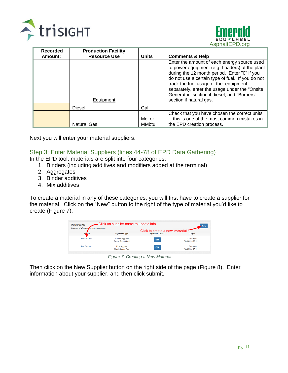



| <b>Recorded</b> | <b>Production Facility</b> |                        |                                                                                                                                                                                                                                                                                                                                                                        |
|-----------------|----------------------------|------------------------|------------------------------------------------------------------------------------------------------------------------------------------------------------------------------------------------------------------------------------------------------------------------------------------------------------------------------------------------------------------------|
| Amount:         | <b>Resource Use</b>        | <b>Units</b>           | <b>Comments &amp; Help</b>                                                                                                                                                                                                                                                                                                                                             |
|                 | Equipment                  |                        | Enter the amount of each energy source used<br>to power equipment (e.g. Loaders) at the plant<br>during the 12 month period. Enter "0" if you<br>do not use a certain type of fuel. If you do not<br>track the fuel usage of the equipment<br>separately, enter the usage under the "Onsite"<br>Generator" section if diesel, and "Burners"<br>section if natural gas. |
|                 | <b>Diesel</b>              | Gal                    |                                                                                                                                                                                                                                                                                                                                                                        |
|                 | <b>Natural Gas</b>         | Mcf or<br><b>MMbtu</b> | Check that you have chosen the correct units<br>-- this is one of the most common mistakes in<br>the EPD creation process.                                                                                                                                                                                                                                             |

Next you will enter your material suppliers.

#### Step 3: Enter Material Suppliers (lines 44-78 of EPD Data Gathering)

In the EPD tool, materials are split into four categories:

- 1. Binders (including additives and modifiers added at the terminal)
- 2. Aggregates
- 3. Binder additives
- 4. Mix additives

To create a material in any of these categories, you will first have to create a supplier for the material. Click on the "New" button to the right of the type of material you'd like to create (Figure 7).



*Figure 7: Creating a New Material*

Then click on the New Supplier button on the right side of the page (Figure 8). Enter information about your supplier, and then click submit.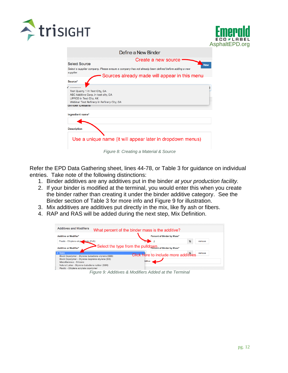



| Define a New Binder                                                                                 |            |
|-----------------------------------------------------------------------------------------------------|------------|
| Create a new source                                                                                 |            |
| <b>Select Source</b>                                                                                | <b>New</b> |
| Select a supplier company. Please ensure a company has not already been defined before adding a new |            |
| supplier.                                                                                           |            |
| Sources already made will appear in this menu                                                       |            |
| Source*                                                                                             |            |
|                                                                                                     |            |
| Test Quarry 1 in Test City, GA                                                                      |            |
| ABC Additive Corp. in test city, GA                                                                 |            |
| <b>UPPCO</b> in Test City, AK                                                                       |            |
| Webinar Test Refinery in Refinery City, GA                                                          |            |
| inder Details                                                                                       |            |
| Ingredient name*                                                                                    |            |
|                                                                                                     |            |
|                                                                                                     |            |
|                                                                                                     |            |
| <b>Description</b>                                                                                  |            |
|                                                                                                     |            |
| Use a unique name (it will appear later in dropdown menus)                                          |            |
|                                                                                                     |            |
|                                                                                                     |            |
|                                                                                                     |            |

Refer the EPD Data Gathering sheet, lines 44-78, or Table 3 for guidance on individual entries. Take note of the following distinctions:

- 1. Binder additives are any additives put in the binder *at your production facility.*
- 2. If your binder is modified at the terminal, you would enter this when you create the binder rather than creating it under the binder additive category. See the Binder section of Table 3 for more info and Figure 9 for illustration.
- 3. Mix additives are additives put directly in the mix, like fly ash or fibers.
- 4. RAP and RAS will be added during the next step, Mix Definition.

| <b>Additives and Modifiers</b>          | What percent of the binder mass is the additive?     |
|-----------------------------------------|------------------------------------------------------|
| <b>Additive or Modifier*</b>            | Percent of Binder by Mass*                           |
| Plastic - Ethylene-vinyl<br>atate (EVA) | %<br>remove                                          |
| <b>Additive or Modifier*</b>            | Select the type from the pulldown of Binder by Mass* |
| V None                                  | Click here to include more additives<br>remove       |

*Figure 9: Additives & Modifiers Added at the Terminal*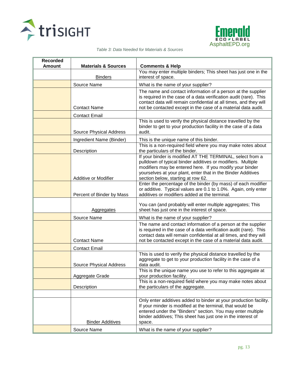



|  | Table 3: Data Needed for Materials & Sources |
|--|----------------------------------------------|
|--|----------------------------------------------|

| <b>Recorded</b> |                                |                                                                                                                                                                                                                                                                                            |
|-----------------|--------------------------------|--------------------------------------------------------------------------------------------------------------------------------------------------------------------------------------------------------------------------------------------------------------------------------------------|
| <b>Amount</b>   | <b>Materials &amp; Sources</b> | <b>Comments &amp; Help</b>                                                                                                                                                                                                                                                                 |
|                 | <b>Binders</b>                 | You may enter multiple binders; This sheet has just one in the<br>interest of space.                                                                                                                                                                                                       |
|                 | Source Name                    | What is the name of your supplier?                                                                                                                                                                                                                                                         |
|                 | <b>Contact Name</b>            | The name and contact information of a person at the supplier<br>is required in the case of a data verification audit (rare). This<br>contact data will remain confidential at all times, and they will<br>not be contacted except in the case of a material data audit.                    |
|                 | <b>Contact Email</b>           |                                                                                                                                                                                                                                                                                            |
|                 | Source Physical Address        | This is used to verify the physical distance travelled by the<br>binder to get to your production facility in the case of a data<br>audit.                                                                                                                                                 |
|                 | Ingredient Name (Binder)       | This is the unique name of this binder.                                                                                                                                                                                                                                                    |
|                 | Description                    | This is a non-required field where you may make notes about<br>the particulars of the binder.                                                                                                                                                                                              |
|                 | Additive or Modifier           | If your binder is modified AT THE TERMINAL, select from a<br>pulldown of typical binder additives or modifiers. Multiple<br>modifiers may be entered here. If you modify your binder<br>yourselves at your plant, enter that in the Binder Additives<br>section below, starting at row 62. |
|                 | Percent of Binder by Mass      | Enter the percentage of the binder (by mass) of each modifier<br>or additive. Typical values are 0.1 to 1.0%. Again, only enter<br>additives or modifiers added at the terminal.                                                                                                           |
|                 | <b>Aggregates</b>              | You can (and probably will enter multiple aggregates; This<br>sheet has just one in the interest of space.                                                                                                                                                                                 |
|                 | Source Name                    | What is the name of your supplier?                                                                                                                                                                                                                                                         |
|                 | <b>Contact Name</b>            | The name and contact information of a person at the supplier<br>is required in the case of a data verification audit (rare). This<br>contact data will remain confidential at all times, and they will<br>not be contacted except in the case of a material data audit.                    |
|                 | <b>Contact Email</b>           |                                                                                                                                                                                                                                                                                            |
|                 | <b>Source Physical Address</b> | This is used to verify the physical distance travelled by the<br>aggregate to get to your production facility in the case of a<br>data audit.                                                                                                                                              |
|                 | Aggregate Grade                | This is the unique name you use to refer to this aggregate at<br>your production facility.                                                                                                                                                                                                 |
|                 | Description                    | This is a non-required field where you may make notes about<br>the particulars of the aggregate.                                                                                                                                                                                           |
|                 | <b>Binder Additives</b>        | Only enter additives added to binder at your production facility.<br>If your minder is modified at the terminal, that would be<br>entered under the "Binders" section. You may enter multiple<br>binder additives; This sheet has just one in the interest of<br>space.                    |
|                 | Source Name                    | What is the name of your supplier?                                                                                                                                                                                                                                                         |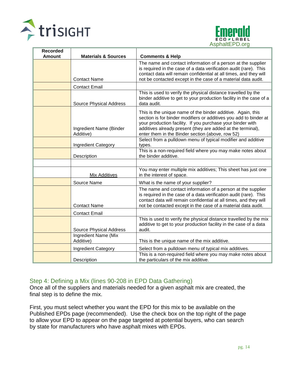



| <b>Recorded</b> |                                                 |                                                                                                                                   |
|-----------------|-------------------------------------------------|-----------------------------------------------------------------------------------------------------------------------------------|
| <b>Amount</b>   | <b>Materials &amp; Sources</b>                  | <b>Comments &amp; Help</b>                                                                                                        |
|                 |                                                 | The name and contact information of a person at the supplier<br>is required in the case of a data verification audit (rare). This |
|                 |                                                 | contact data will remain confidential at all times, and they will                                                                 |
|                 | <b>Contact Name</b>                             | not be contacted except in the case of a material data audit.                                                                     |
|                 | <b>Contact Email</b>                            |                                                                                                                                   |
|                 |                                                 | This is used to verify the physical distance travelled by the                                                                     |
|                 |                                                 | binder additive to get to your production facility in the case of a                                                               |
|                 | Source Physical Address                         | data audit.                                                                                                                       |
|                 |                                                 | This is the unique name of the binder additive. Again, this                                                                       |
|                 |                                                 | section is for binder modifiers or additives you add to binder at                                                                 |
|                 |                                                 | your production facility. If you purchase your binder with                                                                        |
|                 | Ingredient Name (Binder                         | additives already present (they are added at the terminal),                                                                       |
|                 | Additive)                                       | enter them in the Binder section (above, row 52)                                                                                  |
|                 | Ingredient Category                             | Select from a pulldown menu of typical modifier and additive<br>types.                                                            |
|                 |                                                 | This is a non-required field where you may make notes about                                                                       |
|                 | Description                                     | the binder additive.                                                                                                              |
|                 |                                                 |                                                                                                                                   |
|                 |                                                 | You may enter multiple mix additives; This sheet has just one                                                                     |
|                 | Mix Additives                                   | in the interest of space.                                                                                                         |
|                 | Source Name                                     | What is the name of your supplier?                                                                                                |
|                 |                                                 | The name and contact information of a person at the supplier                                                                      |
|                 |                                                 | is required in the case of a data verification audit (rare). This                                                                 |
|                 |                                                 | contact data will remain confidential at all times, and they will                                                                 |
|                 | <b>Contact Name</b>                             | not be contacted except in the case of a material data audit.                                                                     |
|                 | <b>Contact Email</b>                            |                                                                                                                                   |
|                 |                                                 | This is used to verify the physical distance travelled by the mix                                                                 |
|                 |                                                 | additive to get to your production facility in the case of a data                                                                 |
|                 | Source Physical Address<br>Ingredient Name (Mix | audit.                                                                                                                            |
|                 | Additive)                                       | This is the unique name of the mix additive.                                                                                      |
|                 |                                                 |                                                                                                                                   |
|                 | <b>Ingredient Category</b>                      | Select from a pulldown menu of typical mix additives.<br>This is a non-required field where you may make notes about              |
|                 | Description                                     | the particulars of the mix additive.                                                                                              |

#### Step 4: Defining a Mix (lines 90-208 in EPD Data Gathering)

Once all of the suppliers and materials needed for a given asphalt mix are created, the final step is to define the mix.

First, you must select whether you want the EPD for this mix to be available on the Published EPDs page (recommended). Use the check box on the top right of the page to allow your EPD to appear on the page targeted at potential buyers, who can search by state for manufacturers who have asphalt mixes with EPDs.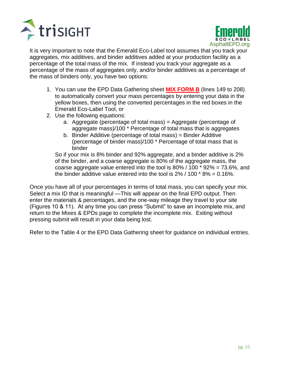



It is very important to note that the Emerald Eco-Label tool assumes that you track your aggregates, mix additives, and binder additives added at your production facility as a percentage of the total mass of the mix. If instead you track your aggregate as a percentage of the mass of aggregates only, and/or binder additives as a percentage of the mass of binders only, you have two options:

- 1. You can use the EPD Data Gathering sheet **MIX FORM B** (lines 149 to 208) to automatically convert your mass percentages by entering your data in the yellow boxes, then using the converted percentages in the red boxes in the Emerald Eco-Label Tool, or
- 2. Use the following equations:
	- a. Aggregate (percentage of total mass) = Aggregate (percentage of aggregate mass)/100 \* Percentage of total mass that is aggregates
	- b. Binder Additive (percentage of total mass) = Binder Additive (percentage of binder mass)/100 \* Percentage of total mass that is binder

So if your mix is 8% binder and 92% aggregate, and a binder additive is 2% of the binder, and a coarse aggregate is 80% of the aggregate mass, the coarse aggregate value entered into the tool is 80% / 100 \* 92% = 73.6%, and the binder additive value entered into the tool is  $2\%$  / 100  $*$  8% = 0.16%.

Once you have all of your percentages in terms of total mass, you can specify your mix. Select a mix ID that is meaningful —This will appear on the final EPD output. Then enter the materials & percentages, and the one-way mileage they travel to your site (Figures 10 & 11). At any time you can press "Submit" to save an incomplete mix, and return to the Mixes & EPDs page to complete the incomplete mix. Exiting without pressing submit will result in your data being lost.

Refer to the Table 4 or the EPD Data Gathering sheet for guidance on individual entries.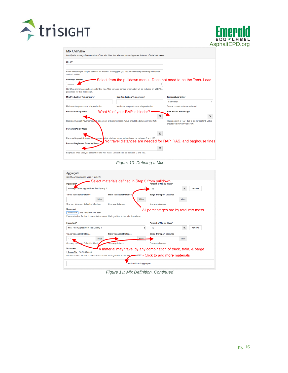



| <b>Mix Overview</b> |  |
|---------------------|--|
|                     |  |

| Mix ID*                                |                                                                                                                |   |                                                                                  |   |
|----------------------------------------|----------------------------------------------------------------------------------------------------------------|---|----------------------------------------------------------------------------------|---|
|                                        |                                                                                                                |   |                                                                                  |   |
| and/or identifier.                     | Enter a meaningful unique identifier for this mix. We suggest you use your company's naming convention         |   |                                                                                  |   |
| <b>Primary Contact*</b>                |                                                                                                                |   | Select from the pulldown menu. Does not need to be the Tech. Lead                |   |
|                                        |                                                                                                                |   |                                                                                  |   |
| generated for this mix design.         | Identify a primary contact person for this mix. This person's contact information will be included on all EPDs |   |                                                                                  |   |
| <b>Min Production Temperature*</b>     | <b>Max Production Temperature*</b>                                                                             |   | <b>Temperature Units*</b>                                                        |   |
|                                        |                                                                                                                |   | Fahrenheit                                                                       | ÷ |
| Minimum temperature of mix production. | Maximum temperature of mix production.                                                                         |   | Ensure correct units are selected.                                               |   |
| <b>Percent RAP by Mass</b>             | What % of your RAP is binder?                                                                                  |   | <b>RAP Binder Percentage</b>                                                     |   |
|                                        |                                                                                                                | % |                                                                                  | % |
|                                        | Recycled Asphalt Payement used, as percent of total mix mass. Value should be between 0 and 100.               |   | Mass percent of RAP due to binder content. Value<br>should be between 0 and 100. |   |
| <b>Percent RAS by Mass</b>             |                                                                                                                |   |                                                                                  |   |
|                                        |                                                                                                                | % |                                                                                  |   |
|                                        | Recycled Asphalt Shingles used, as percent of total mix mass. Value should be between 0 and 100.               |   |                                                                                  |   |
| <b>Percent Baghouse Fines by Mass</b>  |                                                                                                                |   | No travel distances are needed for RAP, RAS, and baghouse fines                  |   |
|                                        |                                                                                                                |   |                                                                                  |   |

*Figure 10: Defining a Mix*

| Aggregate                                                                                                                                             |              |                                                                                                                        |                          |                                       |              |        |  |
|-------------------------------------------------------------------------------------------------------------------------------------------------------|--------------|------------------------------------------------------------------------------------------------------------------------|--------------------------|---------------------------------------|--------------|--------|--|
| Identify all aggregates used in this mix.                                                                                                             |              |                                                                                                                        |                          |                                       |              |        |  |
| Ingredient*                                                                                                                                           |              | Select materials defined in Step 3 from pulldown                                                                       |                          | Percent of Mix by Mass*               |              |        |  |
| [coarse] Coarse agg test from Test Quarry 1                                                                                                           |              |                                                                                                                        |                          | 66                                    | %            | remove |  |
| <b>Truck Transport Distance</b>                                                                                                                       |              | <b>Train Transport Distance</b>                                                                                        |                          | <b>Barge Transport Distance</b>       |              |        |  |
| 17                                                                                                                                                    | <b>Miles</b> |                                                                                                                        | <b>Miles</b>             |                                       | <b>Miles</b> |        |  |
| One-way distance. Default is 50 miles.                                                                                                                |              | One-way distance.                                                                                                      |                          | One-way distance.                     |              |        |  |
| <b>Document</b><br>Data Requirements.docx<br>Choose File<br>Please attach a file that documents the use of this ingredient in this mix, if available. |              |                                                                                                                        |                          | All percentages are by total mix mass |              |        |  |
|                                                                                                                                                       |              |                                                                                                                        |                          |                                       |              |        |  |
|                                                                                                                                                       |              |                                                                                                                        |                          | Percent of Mix by Mass*               |              |        |  |
| [fine] Fine Agg test from Test Quarry 1                                                                                                               |              |                                                                                                                        | ÷                        | 15                                    | %            | remove |  |
|                                                                                                                                                       |              | <b>Train Transport Distance</b>                                                                                        |                          | <b>Barge Transport Distance</b>       |              |        |  |
| 17                                                                                                                                                    | <b>Miles</b> |                                                                                                                        | Miles                    |                                       | <b>Miles</b> |        |  |
|                                                                                                                                                       |              | One-way distance.                                                                                                      |                          | One-way distance.                     |              |        |  |
|                                                                                                                                                       |              |                                                                                                                        |                          |                                       |              |        |  |
| Choose File No file chosen                                                                                                                            |              | A material may travel by any combination of truck, train, & barge                                                      |                          |                                       |              |        |  |
| Ingredient*<br><b>Truck Transport Distance</b><br>One-way distance. Default is 50 miles<br>Document                                                   |              | Please attach a file that documents the use of this ingredient in this mix-if-criatione. • Click to add more materials |                          |                                       |              |        |  |
|                                                                                                                                                       |              |                                                                                                                        |                          |                                       |              |        |  |
|                                                                                                                                                       |              |                                                                                                                        | Add additional aggregate |                                       |              |        |  |

*Figure 11: Mix Definition, Continued*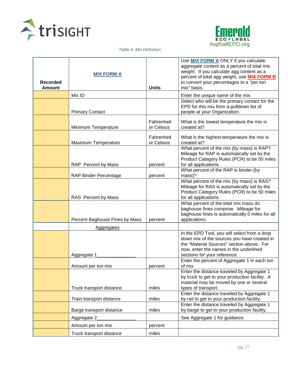



*Table 4: Mix Definition*

| <b>Recorded</b><br><b>Amount</b> | <b>MIX FORM A</b>              | <b>Units</b>             | Use <b>MIX FORM A ONLY</b> if you calculate<br>aggregate content as a percent of total mix<br>weight. If you calculate agg content as a<br>percent of total agg weight, use <b>MIX FORM B</b><br>to convert your percentages to a "per ton<br>mix" basis. |
|----------------------------------|--------------------------------|--------------------------|-----------------------------------------------------------------------------------------------------------------------------------------------------------------------------------------------------------------------------------------------------------|
|                                  | Mix ID                         |                          | Enter the unique name of the mix.                                                                                                                                                                                                                         |
|                                  | <b>Primary Contact</b>         |                          | Select who will be the primary contact for the<br>EPD for this mix from a pulldown list of<br>people at your Organization.                                                                                                                                |
|                                  | Minimum Temperature            | Fahrenheit<br>or Celsius | What is the lowest temperature the mix is<br>created at?                                                                                                                                                                                                  |
|                                  | Maximum Temperature            | Fahrenheit<br>or Celsius | What is the highest temperature the mix is<br>created at?                                                                                                                                                                                                 |
|                                  | RAP Percent by Mass            | percent                  | What percent of the mix (by mass) is RAP?<br>Mileage for RAP is automatically set by the<br>Product Category Rules (PCR) to be 50 miles<br>for all applications.                                                                                          |
|                                  | <b>RAP Binder Percentage</b>   | percent                  | What percent of the RAP is binder (by<br>mass)?                                                                                                                                                                                                           |
|                                  | RAS Percent by Mass            |                          | What percent of the mix (by mass) is RAS?<br>Mileage for RAS is automatically set by the<br>Product Category Rules (PCR) to be 50 miles<br>for all applications.                                                                                          |
|                                  | Percent Baghouse Fines by Mass | percent                  | What percent of the total mix mass do<br>baghouse fines comprise. Mileage for<br>baghouse fines is automatically 0 miles for all<br>applications.                                                                                                         |
|                                  | <b>Aggregates</b>              |                          |                                                                                                                                                                                                                                                           |
|                                  | Aggregate 1                    |                          | In the EPD Tool, you will select from a drop<br>down mix of the sources you have created in<br>the "Material Sources" section above. For<br>now, enter the names in the underlined<br>sections for your reference.                                        |
|                                  | Amount per ton mix             | percent                  | Enter the percent of Aggregate 1 in each ton<br>of mix                                                                                                                                                                                                    |
|                                  |                                |                          | Enter the distance traveled by Aggregate 1<br>by truck to get to your production facility. A<br>material may be moved by one or several                                                                                                                   |
|                                  | Truck transport distance       | miles                    | types of transport.<br>Enter the distance traveled by Aggregate 1                                                                                                                                                                                         |
|                                  | Train transport distance       | miles                    | by rail to get to your production facility.                                                                                                                                                                                                               |
|                                  | Barge transport distance       | miles                    | Enter the distance traveled by Aggregate 1<br>by barge to get to your production facility.                                                                                                                                                                |
|                                  | Aggregate 2                    |                          | See Aggregate 1 for guidance.                                                                                                                                                                                                                             |
|                                  | Amount per ton mix             | percent                  |                                                                                                                                                                                                                                                           |
|                                  | Truck transport distance       | miles                    |                                                                                                                                                                                                                                                           |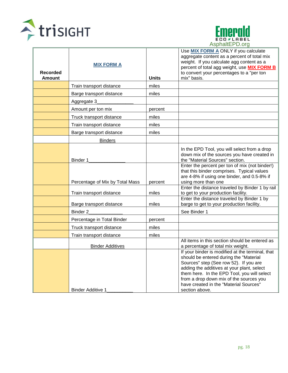



| <b>Recorded</b><br><b>Amount</b> | <b>MIX FORM A</b>               | <b>Units</b> | Use MIX FORM A ONLY if you calculate<br>aggregate content as a percent of total mix<br>weight. If you calculate agg content as a<br>percent of total agg weight, use <b>MIX FORM B</b><br>to convert your percentages to a "per ton<br>mix" basis.                                                                                       |
|----------------------------------|---------------------------------|--------------|------------------------------------------------------------------------------------------------------------------------------------------------------------------------------------------------------------------------------------------------------------------------------------------------------------------------------------------|
|                                  | Train transport distance        | miles        |                                                                                                                                                                                                                                                                                                                                          |
|                                  | Barge transport distance        | miles        |                                                                                                                                                                                                                                                                                                                                          |
|                                  | Aggregate 3                     |              |                                                                                                                                                                                                                                                                                                                                          |
|                                  | Amount per ton mix              | percent      |                                                                                                                                                                                                                                                                                                                                          |
|                                  | Truck transport distance        | miles        |                                                                                                                                                                                                                                                                                                                                          |
|                                  | Train transport distance        | miles        |                                                                                                                                                                                                                                                                                                                                          |
|                                  | Barge transport distance        | miles        |                                                                                                                                                                                                                                                                                                                                          |
|                                  | <b>Binders</b>                  |              |                                                                                                                                                                                                                                                                                                                                          |
|                                  | Binder 1                        |              | In the EPD Tool, you will select from a drop<br>down mix of the sources you have created in<br>the "Material Sources" section.                                                                                                                                                                                                           |
|                                  | Percentage of Mix by Total Mass | percent      | Enter the percent per ton of mix (not binder!)<br>that this binder comprises. Typical values<br>are 4-8% if using one binder, and 0.5-8% if<br>using more than one                                                                                                                                                                       |
|                                  | Train transport distance        | miles        | Enter the distance traveled by Binder 1 by rail<br>to get to your production facility.                                                                                                                                                                                                                                                   |
|                                  | Barge transport distance        | miles        | Enter the distance traveled by Binder 1 by<br>barge to get to your production facility.                                                                                                                                                                                                                                                  |
|                                  | Binder <sub>2</sub>             |              | See Binder 1                                                                                                                                                                                                                                                                                                                             |
|                                  | Percentage in Total Binder      | percent      |                                                                                                                                                                                                                                                                                                                                          |
|                                  | Truck transport distance        | miles        |                                                                                                                                                                                                                                                                                                                                          |
|                                  | Train transport distance        | miles        |                                                                                                                                                                                                                                                                                                                                          |
|                                  | <b>Binder Additives</b>         |              | All items in this section should be entered as<br>a percentage of total mix weight.                                                                                                                                                                                                                                                      |
|                                  | <b>Binder Additive 1</b>        |              | If your binder is modified at the terminal, that<br>should be entered during the "Material<br>Sources" step (See row 52). If you are<br>adding the additives at your plant, select<br>them here. In the EPD Tool, you will select<br>from a drop down mix of the sources you<br>have created in the "Material Sources"<br>section above. |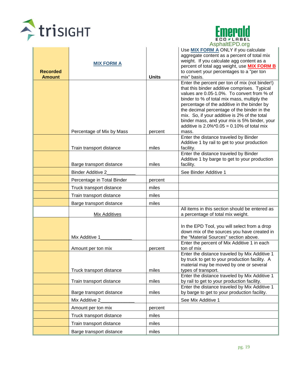



| <b>Recorded</b><br><b>Amount</b> | <b>MIX FORM A</b>          | <b>Units</b> | Use MIX FORM A ONLY if you calculate<br>aggregate content as a percent of total mix<br>weight. If you calculate agg content as a<br>percent of total agg weight, use <b>MIX FORM B</b><br>to convert your percentages to a "per ton<br>mix" basis. |
|----------------------------------|----------------------------|--------------|----------------------------------------------------------------------------------------------------------------------------------------------------------------------------------------------------------------------------------------------------|
|                                  |                            |              | Enter the percent per ton of mix (not binder!)<br>that this binder additive comprises. Typical<br>values are 0.05-1.0%. To convert from % of<br>binder to % of total mix mass, multiply the<br>percentage of the additive in the binder by         |
|                                  | Percentage of Mix by Mass  | percent      | the decimal percentage of the binder in the<br>mix. So, if your additive is 2% of the total<br>binder mass, and your mix is 5% binder, your<br>additive is $2.0\%$ *0.05 = 0.10% of total mix<br>mass.                                             |
|                                  | Train transport distance   | miles        | Enter the distance traveled by Binder<br>Additive 1 by rail to get to your production<br>facility.                                                                                                                                                 |
|                                  | Barge transport distance   | miles        | Enter the distance traveled by Binder<br>Additive 1 by barge to get to your production<br>facility.                                                                                                                                                |
|                                  | <b>Binder Additive 2</b>   |              | See Binder Additive 1                                                                                                                                                                                                                              |
|                                  | Percentage in Total Binder | percent      |                                                                                                                                                                                                                                                    |
|                                  | Truck transport distance   | miles        |                                                                                                                                                                                                                                                    |
|                                  | Train transport distance   | miles        |                                                                                                                                                                                                                                                    |
|                                  | Barge transport distance   | miles        |                                                                                                                                                                                                                                                    |
|                                  | Mix Additives              |              | All items in this section should be entered as<br>a percentage of total mix weight.                                                                                                                                                                |
|                                  | Mix Additive 1             |              | In the EPD Tool, you will select from a drop<br>down mix of the sources you have created in<br>the "Material Sources" section above.                                                                                                               |
|                                  | Amount per ton mix         | percent      | Enter the percent of Mix Additive 1 in each<br>ton of mix                                                                                                                                                                                          |
|                                  | Truck transport distance   | miles        | Enter the distance traveled by Mix Additive 1<br>by truck to get to your production facility. A<br>material may be moved by one or several<br>types of transport.                                                                                  |
|                                  | Train transport distance   | miles        | Enter the distance traveled by Mix Additive 1<br>by rail to get to your production facility.                                                                                                                                                       |
|                                  | Barge transport distance   | miles        | Enter the distance traveled by Mix Additive 1<br>by barge to get to your production facility.                                                                                                                                                      |
|                                  | Mix Additive 2             |              | See Mix Additive 1                                                                                                                                                                                                                                 |
|                                  | Amount per ton mix         | percent      |                                                                                                                                                                                                                                                    |
|                                  | Truck transport distance   | miles        |                                                                                                                                                                                                                                                    |
|                                  | Train transport distance   | miles        |                                                                                                                                                                                                                                                    |
|                                  | Barge transport distance   | miles        |                                                                                                                                                                                                                                                    |